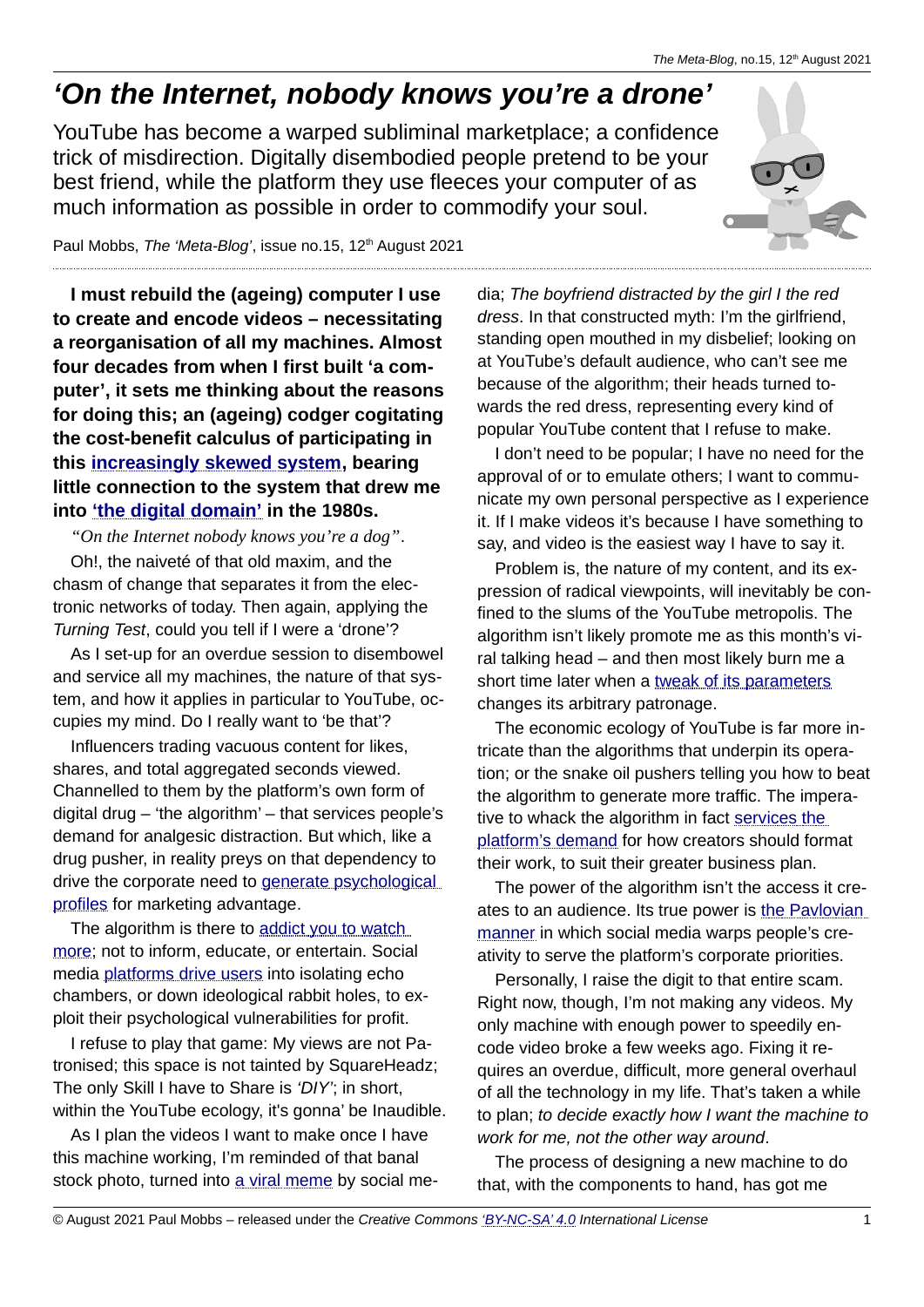## *'On the Internet, nobody knows you're a drone'*

YouTube has become a warped subliminal marketplace; a confidence trick of misdirection. Digitally disembodied people pretend to be your best friend, while the platform they use fleeces your computer of as much information as possible in order to commodify your soul.





Paul Mobbs, *The 'Meta-Blog'*, issue no.15, 12<sup>th</sup> August 2021

**I must rebuild the (ageing) computer I use to create and encode videos – necessitating a reorganisation of all my machines. Almost four decades from when I first built 'a computer', it sets me thinking about the reasons for doing this; an (ageing) codger cogitating the cost-benefit calculus of participating in this [increasingly skewed system](https://thenextweb.com/news/youtube-recommendations-toxic-algorithm-google-ai), bearing little connection to the system that drew me into ['the digital domain'](https://en.wikipedia.org/wiki/Internet_culture) in the 1980s.**

*"On the Internet nobody knows you're a dog"*.

Oh!, the naiveté of that old maxim, and the chasm of change that separates it from the electronic networks of today. Then again, applying the *Turning Test*, could you tell if I were a 'drone'?

As I set-up for an overdue session to disembowel and service all my machines, the nature of that system, and how it applies in particular to YouTube, occupies my mind. Do I really want to 'be that'?

Influencers trading vacuous content for likes, shares, and total aggregated seconds viewed. Channelled to them by the platform's own form of digital drug – 'the algorithm' – that services people's demand for analgesic distraction. But which, like a drug pusher, in reality preys on that dependency to drive the corporate need to [generate psychological](https://www.youtube.com/watch?v=hIXhnWUmMvw)  [profiles](https://www.youtube.com/watch?v=hIXhnWUmMvw) for marketing advantage.

The algorithm is there to [addict you to watch](https://singularityhub.com/2019/10/17/youtubes-algorithm-wants-to-keep-you-watching-and-thats-a-problem/)  [more](https://singularityhub.com/2019/10/17/youtubes-algorithm-wants-to-keep-you-watching-and-thats-a-problem/); not to inform, educate, or entertain. Social media platforms drive users into isolating echo chambers, or down ideological rabbit holes, to exploit their psychological vulnerabilities for profit.

I refuse to play that game: My views are not Patronised; this space is not tainted by SquareHeadz; The only Skill I have to Share is *'DIY'*; in short, within the YouTube ecology, it's gonna' be Inaudible.

As I plan the videos I want to make once I have this machine working, I'm reminded of that banal stock photo, turned into [a viral meme](https://en.wikipedia.org/wiki/Distracted_boyfriend) by social media; *The boyfriend distracted by the girl I the red dress*. In that constructed myth: I'm the girlfriend, standing open mouthed in my disbelief; looking on at YouTube's default audience, who can't see me because of the algorithm; their heads turned towards the red dress, representing every kind of popular YouTube content that I refuse to make.

I don't need to be popular; I have no need for the approval of or to emulate others; I want to communicate my own personal perspective as I experience it. If I make videos it's because I have something to say, and video is the easiest way I have to say it.

Problem is, the nature of my content, and its expression of radical viewpoints, will inevitably be confined to the slums of the YouTube metropolis. The algorithm isn't likely promote me as this month's viral talking head – and then most likely burn me a short time later when a [tweak of its parameters](https://www.theguardian.com/technology/2018/aug/12/youtubers-feeling-burn-video-stars-crumbling-under-pressure-of-producing-new-content) changes its arbitrary patronage.

The economic ecology of YouTube is far more intricate than the algorithms that underpin its operation; or the snake oil pushers telling you how to beat the algorithm to generate more traffic. The imperative to whack the algorithm in fact services the [platform's demand](https://journals.sagepub.com/doi/full/10.1177/2056305119897323) for how creators should format their work, to suit their greater business plan.

The power of the algorithm isn't the access it creates to an audience. Its true power is [the Pavlovian](https://www.sciencedirect.com/science/article/abs/pii/S0306460320308297)  [manner](https://www.sciencedirect.com/science/article/abs/pii/S0306460320308297) in which social media warps people's creativity to serve the platform's corporate priorities.

Personally, I raise the digit to that entire scam. Right now, though, I'm not making any videos. My only machine with enough power to speedily encode video broke a few weeks ago. Fixing it requires an overdue, difficult, more general overhaul of all the technology in my life. That's taken a while to plan; *to decide exactly how I want the machine to work for me, not the other way around*.

The process of designing a new machine to do that, with the components to hand, has got me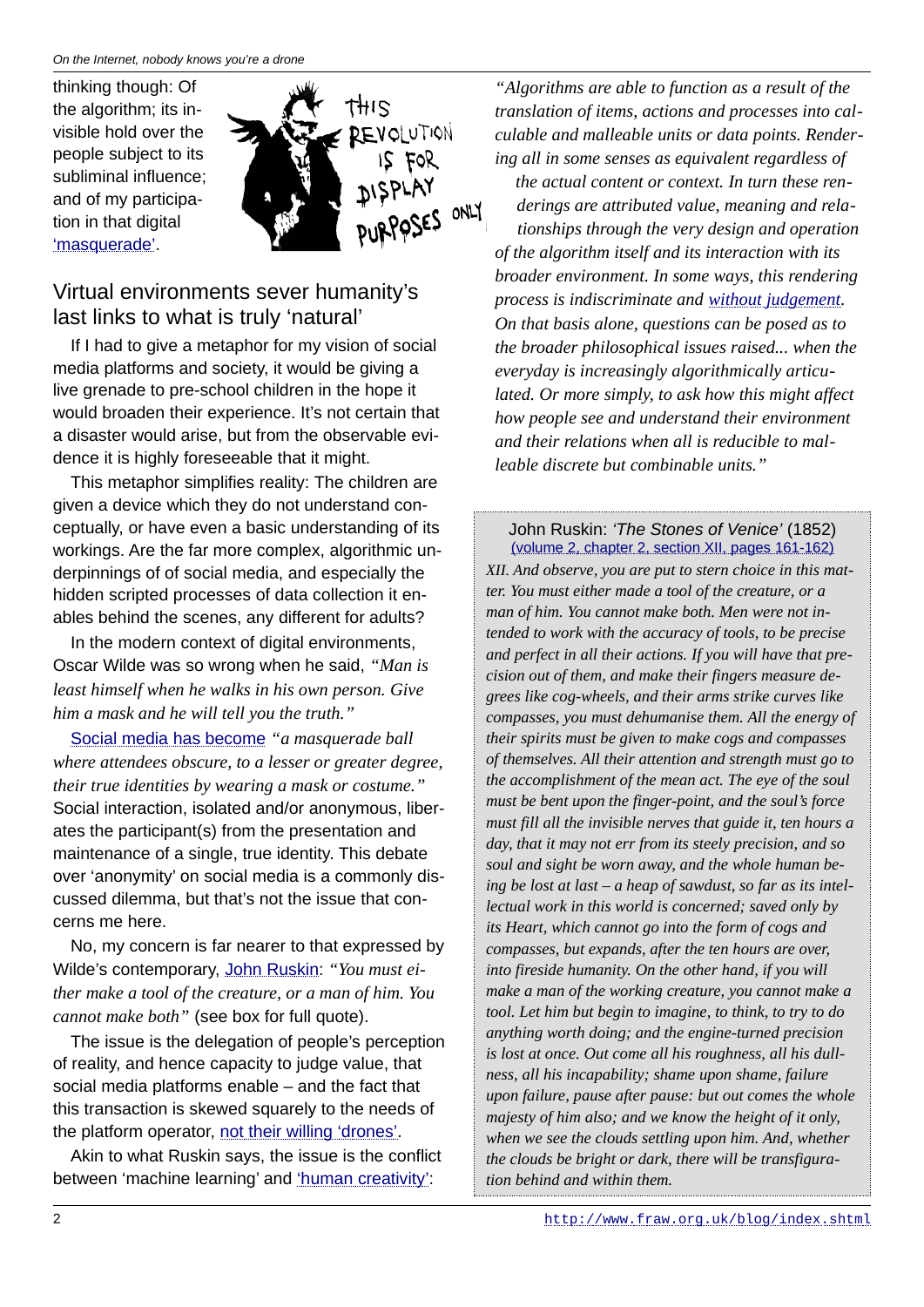thinking though: Of the algorithm; its invisible hold over the people subject to its subliminal influence; and of my participation in that digital [' masquerade'](https://en.wikipedia.org/wiki/Masquerade_ball).



## Virtual environments sever humanity's last links to what is truly 'natural'

If I had to give a metaphor for my vision of social media platforms and society, it would be giving a live grenade to pre-school children in the hope it would broaden their experience. It's not certain that a disaster would arise, but from the observable evidence it is highly foreseeable that it might.

This metaphor simplifies reality: The children are given a device which they do not understand conceptually, or have even a basic understanding of its workings. Are the far more complex, algorithmic underpinnings of of social media, and especially the hidden scripted processes of data collection it enables behind the scenes, any different for adults?

In the modern context of digital environments, Oscar Wilde was so wrong when he said, *"Man is least himself when he walks in his own person. Give him a mask and he will tell you the truth."* 

[Social media has become](https://www.ncbi.nlm.nih.gov/pmc/articles/PMC7134385/) *"a masquerade ball where attendees obscure, to a lesser or greater degree, their true identities by wearing a mask or costume."*  Social interaction, isolated and/or anonymous, liberates the participant(s) from the presentation and maintenance of a single, true identity. This debate over 'anonymity' on social media is a commonly discussed dilemma, but that's not the issue that concerns me here.

No, my concern is far nearer to that expressed by Wilde's contemporary, [John Ruskin](https://www.gutenberg.org/files/30755/30755-h/30755-h.htm#page161): *"You must either make a tool of the creature, or a man of him. You cannot make both"* (see box for full quote).

The issue is the delegation of people's perception of reality, and hence capacity to judge value, that social media platforms enable – and the fact that this transaction is skewed squarely to the needs of the platform operator, [not their willing 'drones'](https://journals.sagepub.com/doi/abs/10.1177/1354856517736978).

Akin to what Ruskin says, the issue is the conflict between 'machine learning' and ['human creativity'](https://www.tandfonline.com/doi/abs/10.1080/1369118X.2016.1200645):

*"Algorithms are able to function as a result of the translation of items, actions and processes into calculable and malleable units or data points. Rendering all in some senses as equivalent regardless of the actual content or context. In turn these renderings are attributed value, meaning and relationships through the very design and operation of the algorithm itself and its interaction with its broader environment. In some ways, this rendering process is indiscriminate and [without judgement.](https://journals.sagepub.com/doi/full/10.1177/2056305117743140) On that basis alone, questions can be posed as to the broader philosophical issues raised... when the everyday is increasingly algorithmically articulated. Or more simply, to ask how this might affect how people see and understand their environment and their relations when all is reducible to malleable discrete but combinable units."*

John Ruskin: *'The Stones of Venice'* (1852) (volume 2, chapter 2, section XII, pages 161-162) *XII. And observe, you are put to stern choice in this matter. You must either made a tool of the creature, or a man of him. You cannot make both. Men were not intended to work with the accuracy of tools, to be precise and perfect in all their actions. If you will have that precision out of them, and make their fingers measure degrees like cog-wheels, and their arms strike curves like compasses, you must dehumanise them. All the energy of their spirits must be given to make cogs and compasses of themselves. All their attention and strength must go to the accomplishment of the mean act. The eye of the soul must be bent upon the finger-point, and the soul's force must fill all the invisible nerves that guide it, ten hours a day, that it may not err from its steely precision, and so soul and sight be worn away, and the whole human being be lost at last – a heap of sawdust, so far as its intellectual work in this world is concerned; saved only by its Heart, which cannot go into the form of cogs and compasses, but expands, after the ten hours are over, into fireside humanity. On the other hand, if you will make a man of the working creature, you cannot make a tool. Let him but begin to imagine, to think, to try to do anything worth doing; and the engine-turned precision is lost at once. Out come all his roughness, all his dullness, all his incapability; shame upon shame, failure upon failure, pause after pause: but out comes the whole majesty of him also; and we know the height of it only, when we see the clouds settling upon him. And, whether the clouds be bright or dark, there will be transfiguration behind and within them.*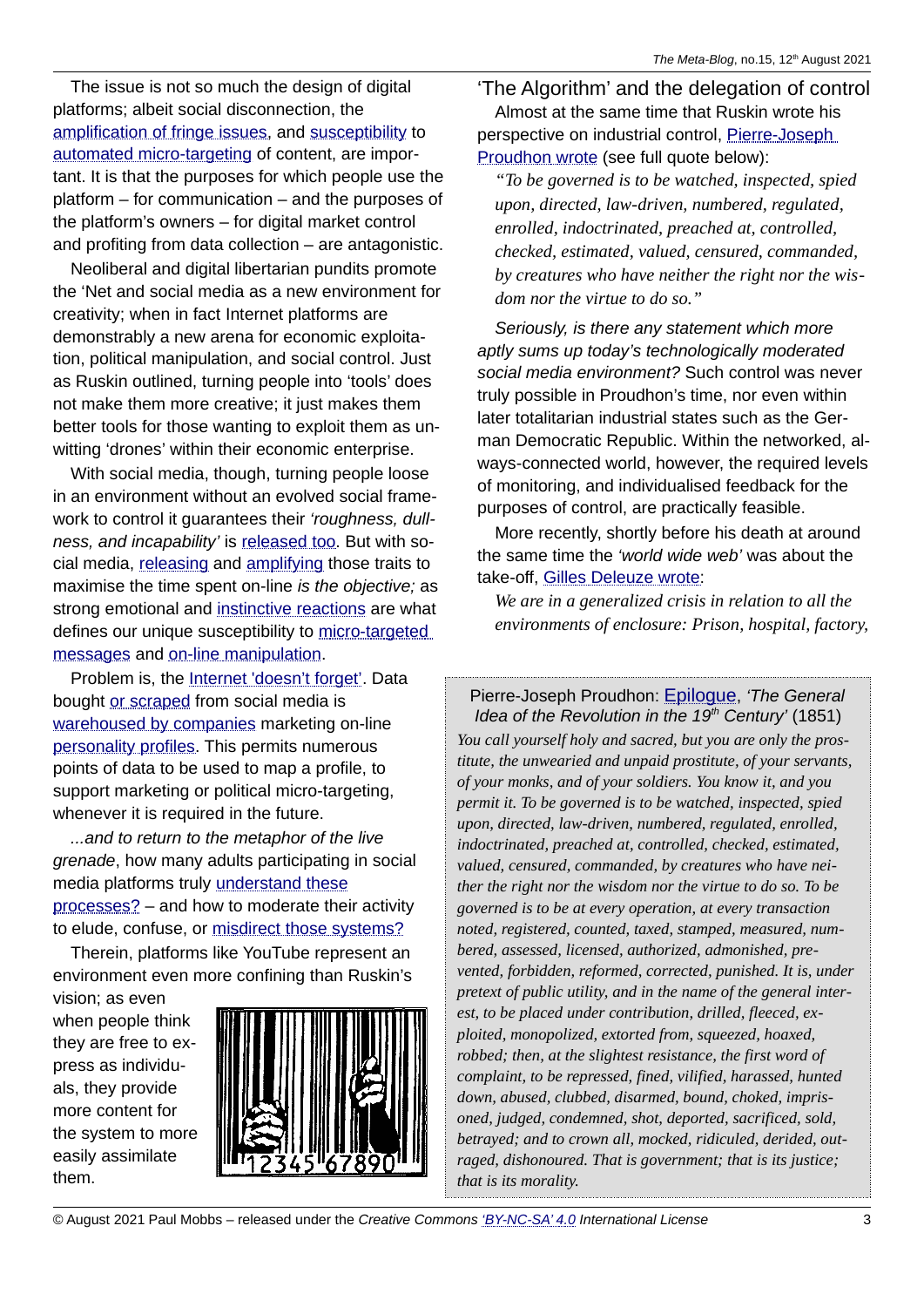The issue is not so much the design of digital platforms; albeit social disconnection, the [amplification of fringe issues](https://journals.sagepub.com/doi/abs/10.1177/1362480616643382), and [susceptibility](https://journals.sagepub.com/doi/full/10.1177/0093650220961965) to [automated micro-targeting](https://www.tandfonline.com/doi/full/10.1080/0960085X.2018.1560920) of content, are important. It is that the purposes for which people use the platform – for communication – and the purposes of the platform's owners – for digital market control and profiting from data collection – are antagonistic.

Neoliberal and digital libertarian pundits promote the 'Net and social media as a new environment for creativity; when in fact Internet platforms are demonstrably a new arena for economic exploitation, political manipulation, and social control. Just as Ruskin outlined, turning people into 'tools' does not make them more creative; it just makes them better tools for those wanting to exploit them as unwitting 'drones' within their economic enterprise.

With social media, though, turning people loose in an environment without an evolved social framework to control it guarantees their *'roughness, dullness, and incapability'* is [released too](https://www.tandfonline.com/doi/abs/10.1080/15252019.2018.1491813). But with social media, [releasing](https://dl.acm.org/doi/abs/10.1145/3340531.3412152) and [amplifying](https://matthardy.org/pdfs/network_biases_cogsci.pdf) those traits to maximise the time spent on-line *is the objective;* as strong emotional and [instinctive reactions](https://academic.oup.com/hcr/article-abstract/46/4/357/5840447) are what defines our unique susceptibility to [micro-targeted](https://dl.acm.org/doi/abs/10.1145/3340531.3412152) [messages](https://dl.acm.org/doi/abs/10.1145/3340531.3412152) and [on-line manipulation](https://matthardy.org/pdfs/network_biases_cogsci.pdf).

Problem is, the [Internet 'doesn't forget'](https://www.sciencedirect.com/science/article/abs/pii/S0267364917302091). Data bought [or scraped](https://en.wikipedia.org/wiki/Data_scraping) from social media is [warehoused by companies](https://ieeexplore.ieee.org/abstract/document/8378964) marketing on-line personality profiles. This permits numerous points of data to be used to map a profile, to support marketing or political micro-targeting, whenever it is required in the future.

*...and to return to the metaphor of the live grenade*, how many adults participating in social media platforms truly [understand these](https://psyarxiv.com/kaby9/download) [processes?](https://psyarxiv.com/kaby9/download) – and how to moderate their activity to elude, confuse, or [misdirect those systems?](https://mitpress.mit.edu/books/obfuscation)

Therein, platforms like YouTube represent an environment even more confining than Ruskin's

vision; as even when people think they are free to express as individuals, they provide more content for the system to more easily assimilate them.



'The Algorithm' and the delegation of control Almost at the same time that Ruskin wrote his perspective on industrial control, [Pierre-Joseph](https://theanarchistlibrary.org/library/pierre-joseph-proudhon-the-general-idea-of-the-revolution-in-the-19th-century#toc40)   [Proudhon wrote](https://theanarchistlibrary.org/library/pierre-joseph-proudhon-the-general-idea-of-the-revolution-in-the-19th-century#toc40) (see full quote below):

*"To be governed is to be watched, inspected, spied upon, directed, law-driven, numbered, regulated, enrolled, indoctrinated, preached at, controlled, checked, estimated, valued, censured, commanded, by creatures who have neither the right nor the wisdom nor the virtue to do so."*

*Seriously, is there any statement which more aptly sums up today's technologically moderated social media environment?* Such control was never truly possible in Proudhon's time, nor even within later totalitarian industrial states such as the German Democratic Republic. Within the networked, always-connected world, however, the required levels of monitoring, and individualised feedback for the purposes of control, are practically feasible.

More recently, shortly before his death at around the same time the *'world wide web'* was about the take-off, [Gilles Deleuze wrote](https://www.jstor.org/stable/778828):

*We are in a generalized crisis in relation to all the environments of enclosure: Prison, hospital, factory,*

Pierre-Joseph Proudhon: [Epilogue](https://theanarchistlibrary.org/library/pierre-joseph-proudhon-the-general-idea-of-the-revolution-in-the-19th-century#toc40), *'The General Idea of the Revolution in the 19th Century'* (1851) *You call yourself holy and sacred, but you are only the prostitute, the unwearied and unpaid prostitute, of your servants, of your monks, and of your soldiers. You know it, and you permit it. To be governed is to be watched, inspected, spied upon, directed, law-driven, numbered, regulated, enrolled, indoctrinated, preached at, controlled, checked, estimated, valued, censured, commanded, by creatures who have neither the right nor the wisdom nor the virtue to do so. To be governed is to be at every operation, at every transaction noted, registered, counted, taxed, stamped, measured, numbered, assessed, licensed, authorized, admonished, prevented, forbidden, reformed, corrected, punished. It is, under pretext of public utility, and in the name of the general interest, to be placed under contribution, drilled, fleeced, exploited, monopolized, extorted from, squeezed, hoaxed, robbed; then, at the slightest resistance, the first word of complaint, to be repressed, fined, vilified, harassed, hunted down, abused, clubbed, disarmed, bound, choked, imprisoned, judged, condemned, shot, deported, sacrificed, sold, betrayed; and to crown all, mocked, ridiculed, derided, outraged, dishonoured. That is government; that is its justice; that is its morality.*